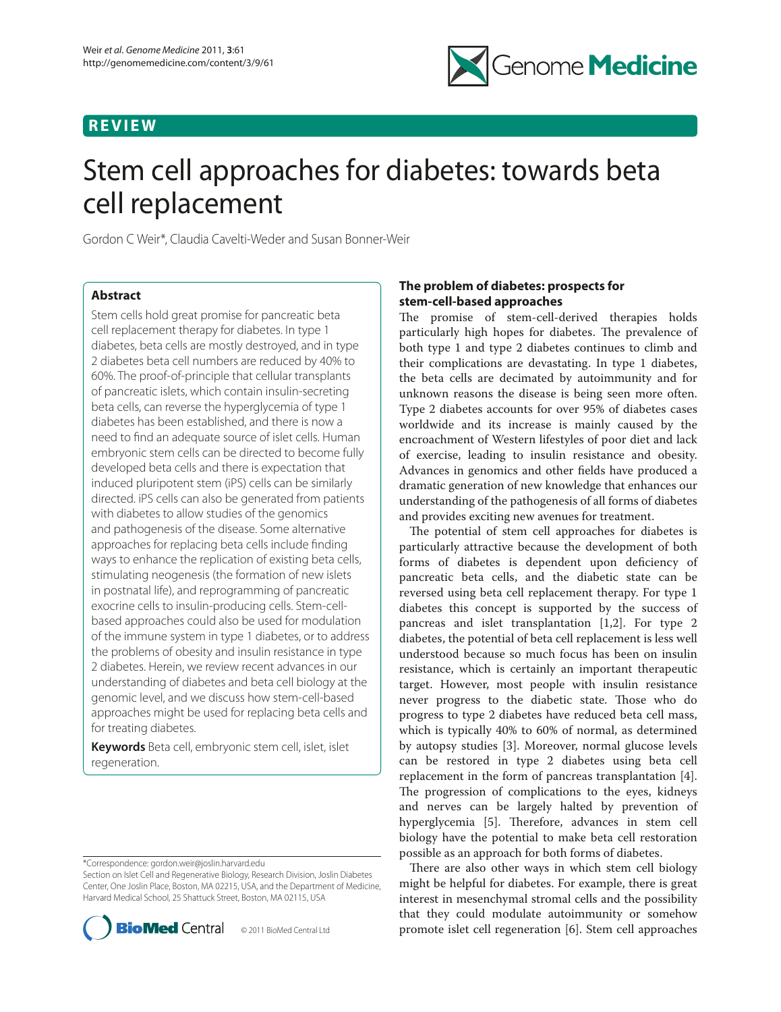# **REVIEW**



# Stem cell approaches for diabetes: towards beta cell replacement

Gordon C Weir\*, Claudia Cavelti-Weder and Susan Bonner-Weir

# **Abstract**

Stem cells hold great promise for pancreatic beta cell replacement therapy for diabetes. In type 1 diabetes, beta cells are mostly destroyed, and in type 2 diabetes beta cell numbers are reduced by 40% to 60%. The proof-of-principle that cellular transplants of pancreatic islets, which contain insulin-secreting beta cells, can reverse the hyperglycemia of type 1 diabetes has been established, and there is now a need to find an adequate source of islet cells. Human embryonic stem cells can be directed to become fully developed beta cells and there is expectation that induced pluripotent stem (iPS) cells can be similarly directed. iPS cells can also be generated from patients with diabetes to allow studies of the genomics and pathogenesis of the disease. Some alternative approaches for replacing beta cells include finding ways to enhance the replication of existing beta cells, stimulating neogenesis (the formation of new islets in postnatal life), and reprogramming of pancreatic exocrine cells to insulin-producing cells. Stem-cellbased approaches could also be used for modulation of the immune system in type 1 diabetes, or to address the problems of obesity and insulin resistance in type 2 diabetes. Herein, we review recent advances in our understanding of diabetes and beta cell biology at the genomic level, and we discuss how stem-cell-based approaches might be used for replacing beta cells and for treating diabetes.

**Keywords** Beta cell, embryonic stem cell, islet, islet regeneration.

Section on Islet Cell and Regenerative Biology, Research Division, Joslin Diabetes Center, One Joslin Place, Boston, MA 02215, USA, and the Department of Medicine, Harvard Medical School, 25 Shattuck Street, Boston, MA 02115, USA



# **The problem of diabetes: prospects for stem-cell-based approaches**

The promise of stem-cell-derived therapies holds particularly high hopes for diabetes. The prevalence of both type 1 and type 2 diabetes continues to climb and their complications are devastating. In type 1 diabetes, the beta cells are decimated by autoimmunity and for unknown reasons the disease is being seen more often. Type 2 diabetes accounts for over 95% of diabetes cases worldwide and its increase is mainly caused by the encroachment of Western lifestyles of poor diet and lack of exercise, leading to insulin resistance and obesity. Advances in genomics and other fields have produced a dramatic generation of new knowledge that enhances our understanding of the pathogenesis of all forms of diabetes and provides exciting new avenues for treatment.

The potential of stem cell approaches for diabetes is particularly attractive because the development of both forms of diabetes is dependent upon deficiency of pancreatic beta cells, and the diabetic state can be reversed using beta cell replacement therapy. For type 1 diabetes this concept is supported by the success of pancreas and islet transplantation [1,2]. For type 2 diabetes, the potential of beta cell replacement is less well understood because so much focus has been on insulin resistance, which is certainly an important therapeutic target. However, most people with insulin resistance never progress to the diabetic state. Those who do progress to type 2 diabetes have reduced beta cell mass, which is typically 40% to 60% of normal, as determined by autopsy studies [3]. Moreover, normal glucose levels can be restored in type 2 diabetes using beta cell replacement in the form of pancreas transplantation [4]. The progression of complications to the eyes, kidneys and nerves can be largely halted by prevention of hyperglycemia [5]. Therefore, advances in stem cell biology have the potential to make beta cell restoration possible as an approach for both forms of diabetes.

There are also other ways in which stem cell biology might be helpful for diabetes. For example, there is great interest in mesenchymal stromal cells and the possibility that they could modulate autoimmunity or somehow promote islet cell regeneration [6]. Stem cell approaches

<sup>\*</sup>Correspondence: gordon.weir@joslin.harvard.edu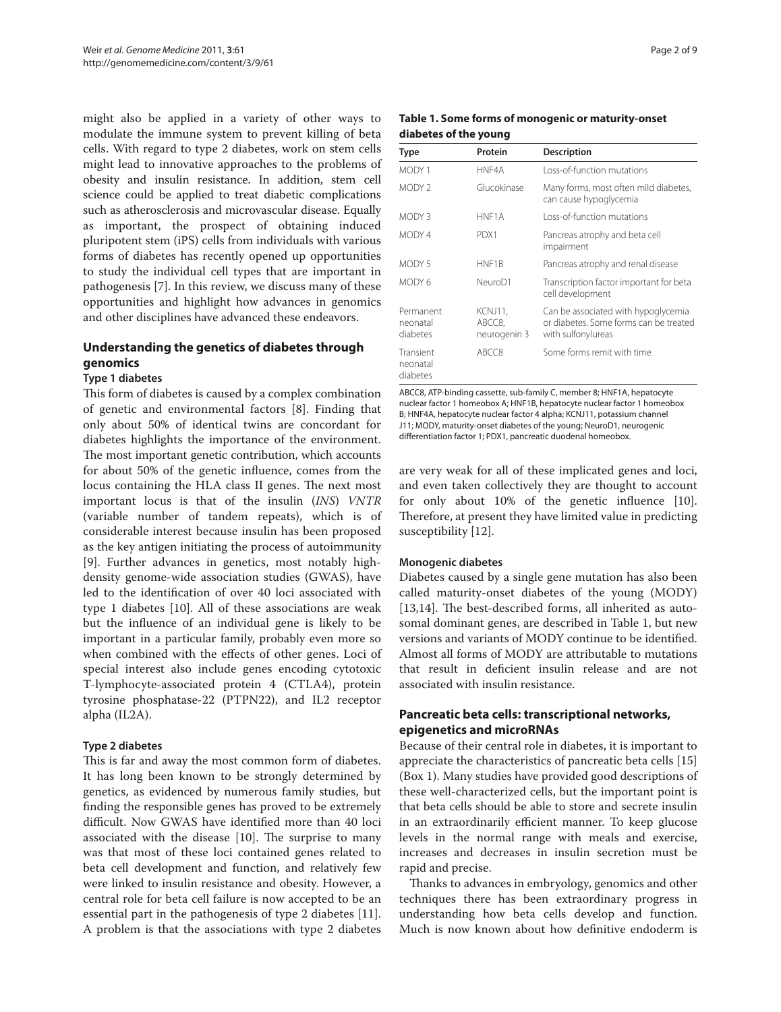might also be applied in a variety of other ways to modulate the immune system to prevent killing of beta cells. With regard to type 2 diabetes, work on stem cells might lead to innovative approaches to the problems of obesity and insulin resistance. In addition, stem cell science could be applied to treat diabetic complications such as atherosclerosis and microvascular disease. Equally as important, the prospect of obtaining induced pluripotent stem (iPS) cells from individuals with various forms of diabetes has recently opened up opportunities to study the individual cell types that are important in pathogenesis [7]. In this review, we discuss many of these opportunities and highlight how advances in genomics and other disciplines have advanced these endeavors.

# **Understanding the genetics of diabetes through genomics**

#### **Type 1 diabetes**

This form of diabetes is caused by a complex combination of genetic and environmental factors [8]. Finding that only about 50% of identical twins are concordant for diabetes highlights the importance of the environment. The most important genetic contribution, which accounts for about 50% of the genetic influence, comes from the locus containing the HLA class II genes. The next most important locus is that of the insulin (*INS*) *VNTR* (variable number of tandem repeats), which is of considerable interest because insulin has been proposed as the key antigen initiating the process of autoimmunity [9]. Further advances in genetics, most notably highdensity genome-wide association studies (GWAS), have led to the identification of over 40 loci associated with type 1 diabetes [10]. All of these associations are weak but the influence of an individual gene is likely to be important in a particular family, probably even more so when combined with the effects of other genes. Loci of special interest also include genes encoding cytotoxic T-lymphocyte-associated protein 4 (CTLA4), protein tyrosine phosphatase-22 (PTPN22), and IL2 receptor alpha (IL2A).

#### **Type 2 diabetes**

This is far and away the most common form of diabetes. It has long been known to be strongly determined by genetics, as evidenced by numerous family studies, but finding the responsible genes has proved to be extremely difficult. Now GWAS have identified more than 40 loci associated with the disease [10]. The surprise to many was that most of these loci contained genes related to beta cell development and function, and relatively few were linked to insulin resistance and obesity. However, a central role for beta cell failure is now accepted to be an essential part in the pathogenesis of type 2 diabetes [11]. A problem is that the associations with type 2 diabetes

#### Page 2 of 9

|                       | Table 1. Some forms of monogenic or maturity-onset |  |
|-----------------------|----------------------------------------------------|--|
| diabetes of the young |                                                    |  |

| Type                              | Protein                           | <b>Description</b>                                                                                  |
|-----------------------------------|-----------------------------------|-----------------------------------------------------------------------------------------------------|
| MODY 1                            | HNF4A                             | Loss-of-function mutations                                                                          |
| MODY <sub>2</sub>                 | Glucokinase                       | Many forms, most often mild diabetes,<br>can cause hypoglycemia                                     |
| MODY 3                            | HNF1A                             | Loss-of-function mutations                                                                          |
| MODY 4                            | PDX1                              | Pancreas atrophy and beta cell<br>impairment                                                        |
| MODY <sub>5</sub>                 | HNF1B                             | Pancreas atrophy and renal disease                                                                  |
| MODY 6                            | Neuro <sub>D1</sub>               | Transcription factor important for beta<br>cell development                                         |
| Permanent<br>neonatal<br>diabetes | KCNJ11,<br>ABCC8,<br>neurogenin 3 | Can be associated with hypoglycemia<br>or diabetes. Some forms can be treated<br>with sulfonylureas |
| Transient<br>neonatal<br>diabetes | ABCC8                             | Some forms remit with time                                                                          |

ABCC8, ATP-binding cassette, sub-family C, member 8; HNF1A, hepatocyte nuclear factor 1 homeobox A; HNF1B, hepatocyte nuclear factor 1 homeobox B; HNF4A, hepatocyte nuclear factor 4 alpha; KCNJ11, potassium channel J11; MODY, maturity-onset diabetes of the young; NeuroD1, neurogenic differentiation factor 1; PDX1, pancreatic duodenal homeobox.

are very weak for all of these implicated genes and loci, and even taken collectively they are thought to account for only about 10% of the genetic influence [10]. Therefore, at present they have limited value in predicting susceptibility [12].

#### **Monogenic diabetes**

Diabetes caused by a single gene mutation has also been called maturity-onset diabetes of the young (MODY) [13,14]. The best-described forms, all inherited as autosomal dominant genes, are described in Table 1, but new versions and variants of MODY continue to be identified. Almost all forms of MODY are attributable to mutations that result in deficient insulin release and are not associated with insulin resistance.

# **Pancreatic beta cells: transcriptional networks, epigenetics and microRNAs**

Because of their central role in diabetes, it is important to appreciate the characteristics of pancreatic beta cells [15] (Box 1). Many studies have provided good descriptions of these well-characterized cells, but the important point is that beta cells should be able to store and secrete insulin in an extraordinarily efficient manner. To keep glucose levels in the normal range with meals and exercise, increases and decreases in insulin secretion must be rapid and precise.

Thanks to advances in embryology, genomics and other techniques there has been extraordinary progress in understanding how beta cells develop and function. Much is now known about how definitive endoderm is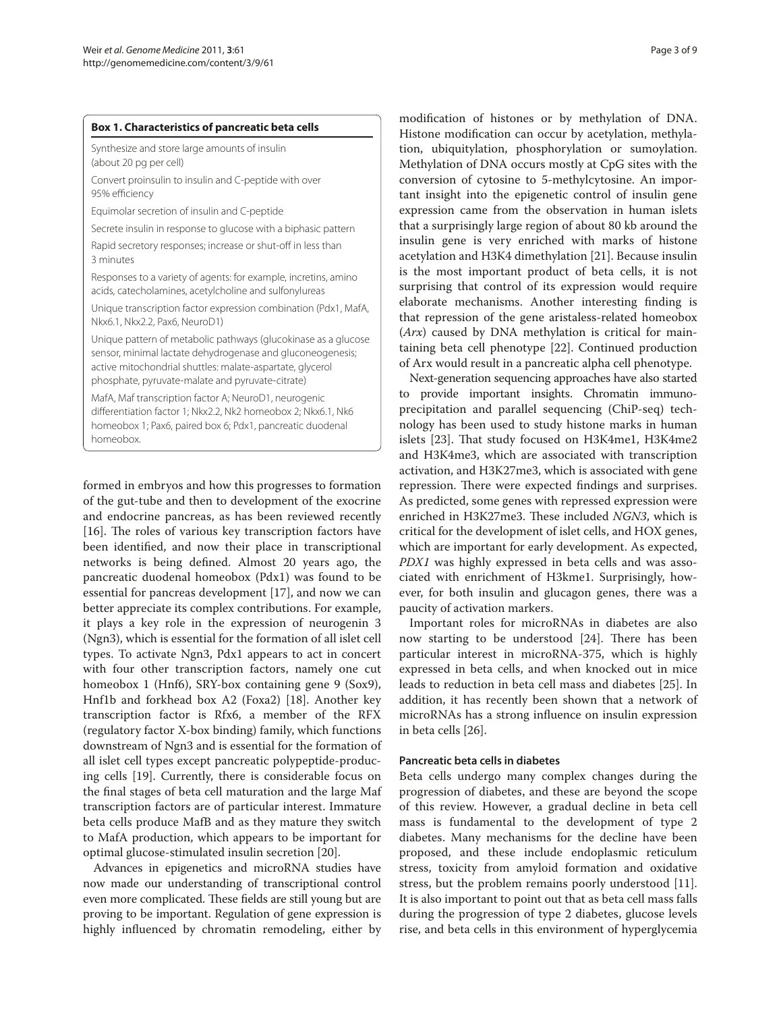#### **Box 1. Characteristics of pancreatic beta cells**

Synthesize and store large amounts of insulin (about 20 pg per cell)

Convert proinsulin to insulin and C-peptide with over 95% efficiency

Equimolar secretion of insulin and C-peptide

Secrete insulin in response to glucose with a biphasic pattern

Rapid secretory responses; increase or shut-off in less than 3 minutes

Responses to a variety of agents: for example, incretins, amino acids, catecholamines, acetylcholine and sulfonylureas

Unique transcription factor expression combination (Pdx1, MafA, Nkx6.1, Nkx2.2, Pax6, NeuroD1)

Unique pattern of metabolic pathways (glucokinase as a glucose sensor, minimal lactate dehydrogenase and gluconeogenesis; active mitochondrial shuttles: malate-aspartate, glycerol phosphate, pyruvate-malate and pyruvate-citrate)

MafA, Maf transcription factor A; NeuroD1, neurogenic differentiation factor 1; Nkx2.2, Nk2 homeobox 2; Nkx6.1, Nk6 homeobox 1; Pax6, paired box 6; Pdx1, pancreatic duodenal homeobox.

formed in embryos and how this progresses to formation of the gut-tube and then to development of the exocrine and endocrine pancreas, as has been reviewed recently [16]. The roles of various key transcription factors have been identified, and now their place in transcriptional networks is being defined. Almost 20 years ago, the pancreatic duodenal homeobox (Pdx1) was found to be essential for pancreas development [17], and now we can better appreciate its complex contributions. For example, it plays a key role in the expression of neurogenin 3 (Ngn3), which is essential for the formation of all islet cell types. To activate Ngn3, Pdx1 appears to act in concert with four other transcription factors, namely one cut homeobox 1 (Hnf6), SRY-box containing gene 9 (Sox9), Hnf1b and forkhead box A2 (Foxa2) [18]. Another key transcription factor is Rfx6, a member of the RFX (regulatory factor X-box binding) family, which functions downstream of Ngn3 and is essential for the formation of all islet cell types except pancreatic polypeptide-producing cells [19]. Currently, there is considerable focus on the final stages of beta cell maturation and the large Maf transcription factors are of particular interest. Immature beta cells produce MafB and as they mature they switch to MafA production, which appears to be important for optimal glucose-stimulated insulin secretion [20].

Advances in epigenetics and microRNA studies have now made our understanding of transcriptional control even more complicated. These fields are still young but are proving to be important. Regulation of gene expression is highly influenced by chromatin remodeling, either by modification of histones or by methylation of DNA. Histone modification can occur by acetylation, methylation, ubiquitylation, phosphorylation or sumoylation. Methylation of DNA occurs mostly at CpG sites with the conversion of cytosine to 5-methylcytosine. An important insight into the epigenetic control of insulin gene expression came from the observation in human islets that a surprisingly large region of about 80 kb around the insulin gene is very enriched with marks of histone acetylation and H3K4 dimethylation [21]. Because insulin is the most important product of beta cells, it is not surprising that control of its expression would require elaborate mechanisms. Another interesting finding is that repression of the gene aristaless-related homeobox (*Arx*) caused by DNA methylation is critical for maintaining beta cell phenotype [22]. Continued production of Arx would result in a pancreatic alpha cell phenotype.

Next-generation sequencing approaches have also started to provide important insights. Chromatin immunoprecipitation and parallel sequencing (ChiP-seq) technology has been used to study histone marks in human islets [23]. That study focused on H3K4me1, H3K4me2 and H3K4me3, which are associated with transcription activation, and H3K27me3, which is associated with gene repression. There were expected findings and surprises. As predicted, some genes with repressed expression were enriched in H3K27me3. These included *NGN3*, which is critical for the development of islet cells, and HOX genes, which are important for early development. As expected, *PDX1* was highly expressed in beta cells and was associated with enrichment of H3kme1. Surprisingly, however, for both insulin and glucagon genes, there was a paucity of activation markers.

Important roles for microRNAs in diabetes are also now starting to be understood [24]. There has been particular interest in microRNA-375, which is highly expressed in beta cells, and when knocked out in mice leads to reduction in beta cell mass and diabetes [25]. In addition, it has recently been shown that a network of microRNAs has a strong influence on insulin expression in beta cells [26].

# **Pancreatic beta cells in diabetes**

Beta cells undergo many complex changes during the progression of diabetes, and these are beyond the scope of this review. However, a gradual decline in beta cell mass is fundamental to the development of type 2 diabetes. Many mechanisms for the decline have been proposed, and these include endoplasmic reticulum stress, toxicity from amyloid formation and oxidative stress, but the problem remains poorly understood [11]. It is also important to point out that as beta cell mass falls during the progression of type 2 diabetes, glucose levels rise, and beta cells in this environment of hyperglycemia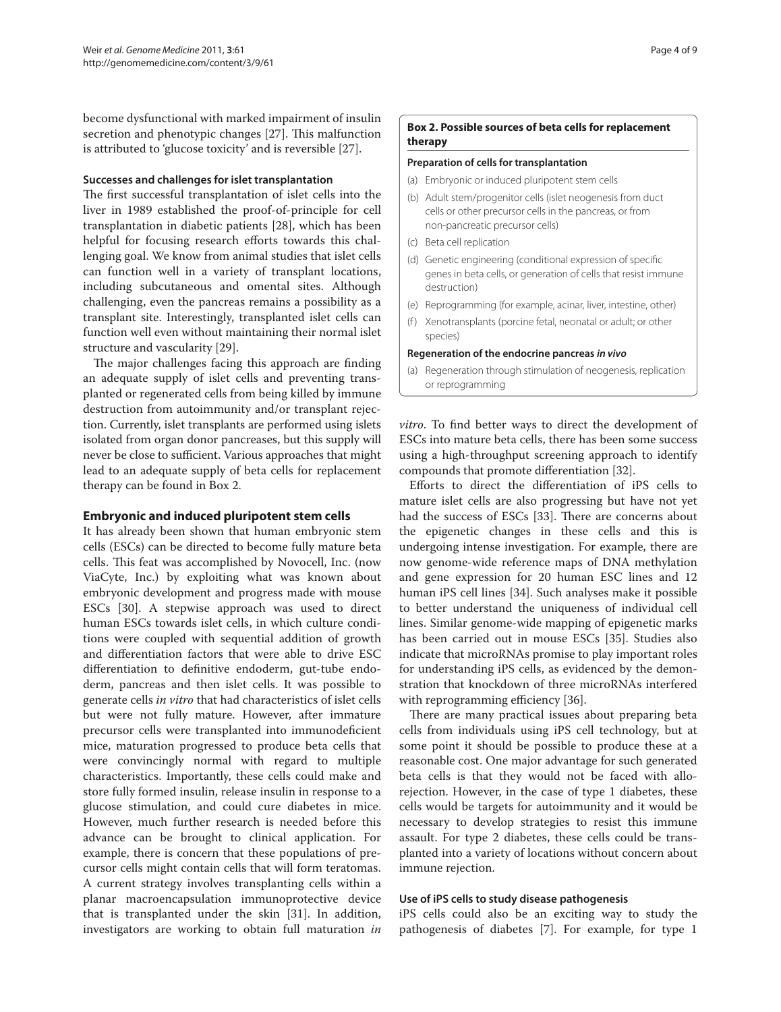become dysfunctional with marked impairment of insulin secretion and phenotypic changes [27]. This malfunction is attributed to 'glucose toxicity' and is reversible [27].

#### **Successes and challenges for islet transplantation**

The first successful transplantation of islet cells into the liver in 1989 established the proof-of-principle for cell transplantation in diabetic patients [28], which has been helpful for focusing research efforts towards this challenging goal. We know from animal studies that islet cells can function well in a variety of transplant locations, including subcutaneous and omental sites. Although challenging, even the pancreas remains a possibility as a transplant site. Interestingly, transplanted islet cells can function well even without maintaining their normal islet structure and vascularity [29].

The major challenges facing this approach are finding an adequate supply of islet cells and preventing transplanted or regenerated cells from being killed by immune destruction from autoimmunity and/or transplant rejection. Currently, islet transplants are performed using islets isolated from organ donor pancreases, but this supply will never be close to sufficient. Various approaches that might lead to an adequate supply of beta cells for replacement therapy can be found in Box 2.

# **Embryonic and induced pluripotent stem cells**

It has already been shown that human embryonic stem cells (ESCs) can be directed to become fully mature beta cells. This feat was accomplished by Novocell, Inc. (now ViaCyte, Inc.) by exploiting what was known about embryonic development and progress made with mouse ESCs [30]. A stepwise approach was used to direct human ESCs towards islet cells, in which culture conditions were coupled with sequential addition of growth and differentiation factors that were able to drive ESC differentiation to definitive endoderm, gut-tube endoderm, pancreas and then islet cells. It was possible to generate cells *in vitro* that had characteristics of islet cells but were not fully mature. However, after immature precursor cells were transplanted into immunodeficient mice, maturation progressed to produce beta cells that were convincingly normal with regard to multiple characteristics. Importantly, these cells could make and store fully formed insulin, release insulin in response to a glucose stimulation, and could cure diabetes in mice. However, much further research is needed before this advance can be brought to clinical application. For example, there is concern that these populations of precursor cells might contain cells that will form teratomas. A current strategy involves transplanting cells within a planar macroencapsulation immunoprotective device that is transplanted under the skin [31]. In addition, investigators are working to obtain full maturation *in* 

# **Box 2. Possible sources of beta cells for replacement therapy**

## **Preparation of cells for transplantation**

- (a) Embryonic or induced pluripotent stem cells
- (b) Adult stem/progenitor cells (islet neogenesis from duct cells or other precursor cells in the pancreas, or from non-pancreatic precursor cells)
- (c) Beta cell replication
- (d) Genetic engineering (conditional expression of specific genes in beta cells, or generation of cells that resist immune destruction)
- (e) Reprogramming (for example, acinar, liver, intestine, other)
- (f) Xenotransplants (porcine fetal, neonatal or adult; or other species)

#### **Regeneration of the endocrine pancreas** *in vivo*

(a) Regeneration through stimulation of neogenesis, replication or reprogramming

*vitro*. To find better ways to direct the development of ESCs into mature beta cells, there has been some success using a high-throughput screening approach to identify compounds that promote differentiation [32].

Efforts to direct the differentiation of iPS cells to mature islet cells are also progressing but have not yet had the success of ESCs [33]. There are concerns about the epigenetic changes in these cells and this is undergoing intense investigation. For example, there are now genome-wide reference maps of DNA methylation and gene expression for 20 human ESC lines and 12 human iPS cell lines [34]. Such analyses make it possible to better understand the uniqueness of individual cell lines. Similar genome-wide mapping of epigenetic marks has been carried out in mouse ESCs [35]. Studies also indicate that microRNAs promise to play important roles for understanding iPS cells, as evidenced by the demonstration that knockdown of three microRNAs interfered with reprogramming efficiency [36].

There are many practical issues about preparing beta cells from individuals using iPS cell technology, but at some point it should be possible to produce these at a reasonable cost. One major advantage for such generated beta cells is that they would not be faced with allorejection. However, in the case of type 1 diabetes, these cells would be targets for autoimmunity and it would be necessary to develop strategies to resist this immune assault. For type 2 diabetes, these cells could be transplanted into a variety of locations without concern about immune rejection.

# **Use of iPS cells to study disease pathogenesis**

iPS cells could also be an exciting way to study the pathogenesis of diabetes [7]. For example, for type 1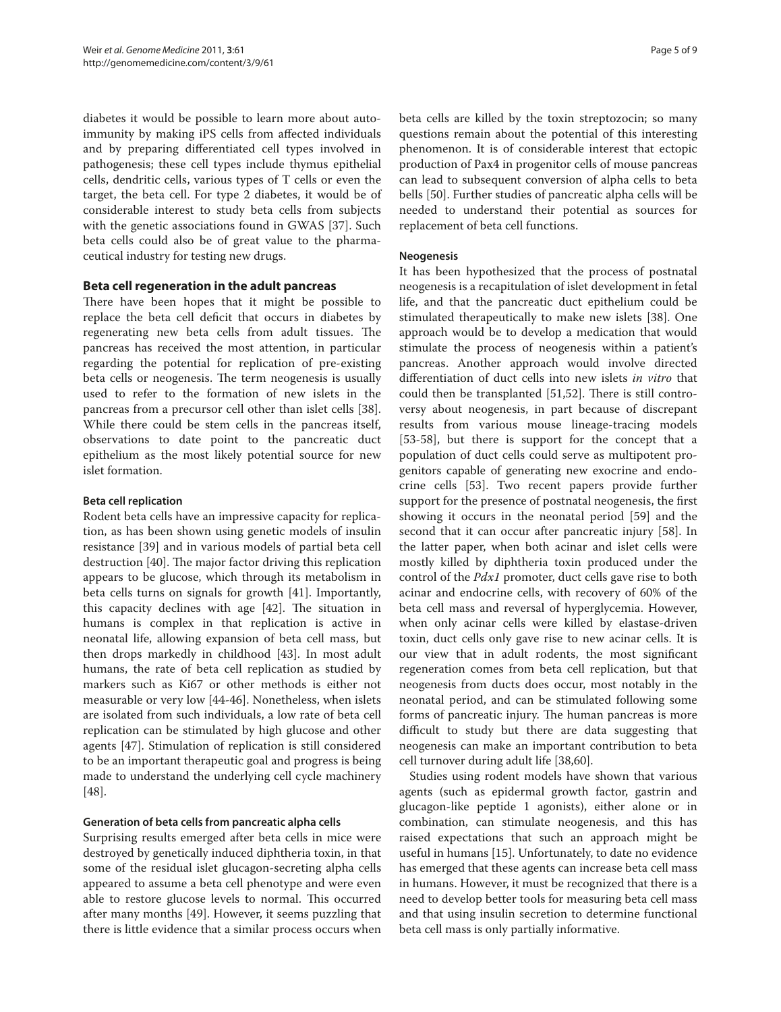diabetes it would be possible to learn more about autoimmunity by making iPS cells from affected individuals and by preparing differentiated cell types involved in pathogenesis; these cell types include thymus epithelial cells, dendritic cells, various types of T cells or even the target, the beta cell. For type 2 diabetes, it would be of considerable interest to study beta cells from subjects with the genetic associations found in GWAS [37]. Such beta cells could also be of great value to the pharmaceutical industry for testing new drugs.

# **Beta cell regeneration in the adult pancreas**

There have been hopes that it might be possible to replace the beta cell deficit that occurs in diabetes by regenerating new beta cells from adult tissues. The pancreas has received the most attention, in particular regarding the potential for replication of pre-existing beta cells or neogenesis. The term neogenesis is usually used to refer to the formation of new islets in the pancreas from a precursor cell other than islet cells [38]. While there could be stem cells in the pancreas itself, observations to date point to the pancreatic duct epithelium as the most likely potential source for new islet formation.

## **Beta cell replication**

Rodent beta cells have an impressive capacity for replication, as has been shown using genetic models of insulin resistance [39] and in various models of partial beta cell destruction [40]. The major factor driving this replication appears to be glucose, which through its metabolism in beta cells turns on signals for growth [41]. Importantly, this capacity declines with age [42]. The situation in humans is complex in that replication is active in neonatal life, allowing expansion of beta cell mass, but then drops markedly in childhood [43]. In most adult humans, the rate of beta cell replication as studied by markers such as Ki67 or other methods is either not measurable or very low [44-46]. Nonetheless, when islets are isolated from such individuals, a low rate of beta cell replication can be stimulated by high glucose and other agents [47]. Stimulation of replication is still considered to be an important therapeutic goal and progress is being made to understand the underlying cell cycle machinery [48].

# **Generation of beta cells from pancreatic alpha cells**

Surprising results emerged after beta cells in mice were destroyed by genetically induced diphtheria toxin, in that some of the residual islet glucagon-secreting alpha cells appeared to assume a beta cell phenotype and were even able to restore glucose levels to normal. This occurred after many months [49]. However, it seems puzzling that there is little evidence that a similar process occurs when beta cells are killed by the toxin streptozocin; so many questions remain about the potential of this interesting phenomenon. It is of considerable interest that ectopic production of Pax4 in progenitor cells of mouse pancreas can lead to subsequent conversion of alpha cells to beta bells [50]. Further studies of pancreatic alpha cells will be needed to understand their potential as sources for replacement of beta cell functions.

#### **Neogenesis**

It has been hypothesized that the process of postnatal neogenesis is a recapitulation of islet development in fetal life, and that the pancreatic duct epithelium could be stimulated therapeutically to make new islets [38]. One approach would be to develop a medication that would stimulate the process of neogenesis within a patient's pancreas. Another approach would involve directed differentiation of duct cells into new islets *in vitro* that could then be transplanted [51,52]. There is still controversy about neogenesis, in part because of discrepant results from various mouse lineage-tracing models [53-58], but there is support for the concept that a population of duct cells could serve as multipotent progenitors capable of generating new exocrine and endocrine cells [53]. Two recent papers provide further support for the presence of postnatal neogenesis, the first showing it occurs in the neonatal period [59] and the second that it can occur after pancreatic injury [58]. In the latter paper, when both acinar and islet cells were mostly killed by diphtheria toxin produced under the control of the *Pdx1* promoter, duct cells gave rise to both acinar and endocrine cells, with recovery of 60% of the beta cell mass and reversal of hyperglycemia. However, when only acinar cells were killed by elastase-driven toxin, duct cells only gave rise to new acinar cells. It is our view that in adult rodents, the most significant regeneration comes from beta cell replication, but that neogenesis from ducts does occur, most notably in the neonatal period, and can be stimulated following some forms of pancreatic injury. The human pancreas is more difficult to study but there are data suggesting that neogenesis can make an important contribution to beta cell turnover during adult life [38,60].

Studies using rodent models have shown that various agents (such as epidermal growth factor, gastrin and glucagon-like peptide 1 agonists), either alone or in combination, can stimulate neogenesis, and this has raised expectations that such an approach might be useful in humans [15]. Unfortunately, to date no evidence has emerged that these agents can increase beta cell mass in humans. However, it must be recognized that there is a need to develop better tools for measuring beta cell mass and that using insulin secretion to determine functional beta cell mass is only partially informative.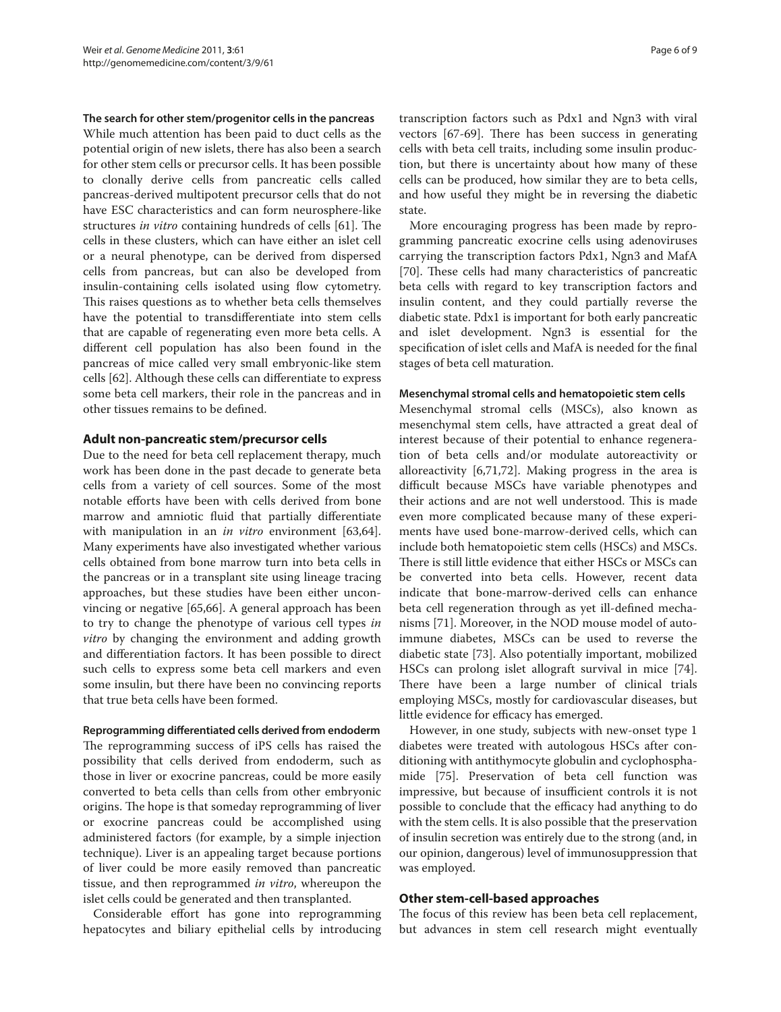**The search for other stem/progenitor cells in the pancreas**

While much attention has been paid to duct cells as the potential origin of new islets, there has also been a search for other stem cells or precursor cells. It has been possible to clonally derive cells from pancreatic cells called pancreas-derived multipotent precursor cells that do not have ESC characteristics and can form neurosphere-like structures *in vitro* containing hundreds of cells [61]. The cells in these clusters, which can have either an islet cell or a neural phenotype, can be derived from dispersed cells from pancreas, but can also be developed from insulin-containing cells isolated using flow cytometry. This raises questions as to whether beta cells themselves have the potential to transdifferentiate into stem cells that are capable of regenerating even more beta cells. A different cell population has also been found in the pancreas of mice called very small embryonic-like stem cells [62]. Although these cells can differentiate to express some beta cell markers, their role in the pancreas and in other tissues remains to be defined.

#### **Adult non-pancreatic stem/precursor cells**

Due to the need for beta cell replacement therapy, much work has been done in the past decade to generate beta cells from a variety of cell sources. Some of the most notable efforts have been with cells derived from bone marrow and amniotic fluid that partially differentiate with manipulation in an *in vitro* environment [63,64]. Many experiments have also investigated whether various cells obtained from bone marrow turn into beta cells in the pancreas or in a transplant site using lineage tracing approaches, but these studies have been either unconvincing or negative [65,66]. A general approach has been to try to change the phenotype of various cell types *in vitro* by changing the environment and adding growth and differentiation factors. It has been possible to direct such cells to express some beta cell markers and even some insulin, but there have been no convincing reports that true beta cells have been formed.

#### **Reprogramming differentiated cells derived from endoderm**

The reprogramming success of iPS cells has raised the possibility that cells derived from endoderm, such as those in liver or exocrine pancreas, could be more easily converted to beta cells than cells from other embryonic origins. The hope is that someday reprogramming of liver or exocrine pancreas could be accomplished using administered factors (for example, by a simple injection technique). Liver is an appealing target because portions of liver could be more easily removed than pancreatic tissue, and then reprogrammed *in vitro*, whereupon the islet cells could be generated and then transplanted.

Considerable effort has gone into reprogramming hepatocytes and biliary epithelial cells by introducing transcription factors such as Pdx1 and Ngn3 with viral vectors [67-69]. There has been success in generating cells with beta cell traits, including some insulin production, but there is uncertainty about how many of these cells can be produced, how similar they are to beta cells, and how useful they might be in reversing the diabetic state.

More encouraging progress has been made by reprogramming pancreatic exocrine cells using adenoviruses carrying the transcription factors Pdx1, Ngn3 and MafA [70]. These cells had many characteristics of pancreatic beta cells with regard to key transcription factors and insulin content, and they could partially reverse the diabetic state. Pdx1 is important for both early pancreatic and islet development. Ngn3 is essential for the specification of islet cells and MafA is needed for the final stages of beta cell maturation.

#### **Mesenchymal stromal cells and hematopoietic stem cells**

Mesenchymal stromal cells (MSCs), also known as mesenchymal stem cells, have attracted a great deal of interest because of their potential to enhance regeneration of beta cells and/or modulate autoreactivity or alloreactivity [6,71,72]. Making progress in the area is difficult because MSCs have variable phenotypes and their actions and are not well understood. This is made even more complicated because many of these experiments have used bone-marrow-derived cells, which can include both hematopoietic stem cells (HSCs) and MSCs. There is still little evidence that either HSCs or MSCs can be converted into beta cells. However, recent data indicate that bone-marrow-derived cells can enhance beta cell regeneration through as yet ill-defined mechanisms [71]. Moreover, in the NOD mouse model of autoimmune diabetes, MSCs can be used to reverse the diabetic state [73]. Also potentially important, mobilized HSCs can prolong islet allograft survival in mice [74]. There have been a large number of clinical trials employing MSCs, mostly for cardiovascular diseases, but little evidence for efficacy has emerged.

However, in one study, subjects with new-onset type 1 diabetes were treated with autologous HSCs after conditioning with antithymocyte globulin and cyclophosphamide [75]. Preservation of beta cell function was impressive, but because of insufficient controls it is not possible to conclude that the efficacy had anything to do with the stem cells. It is also possible that the preservation of insulin secretion was entirely due to the strong (and, in our opinion, dangerous) level of immunosuppression that was employed.

#### **Other stem-cell-based approaches**

The focus of this review has been beta cell replacement, but advances in stem cell research might eventually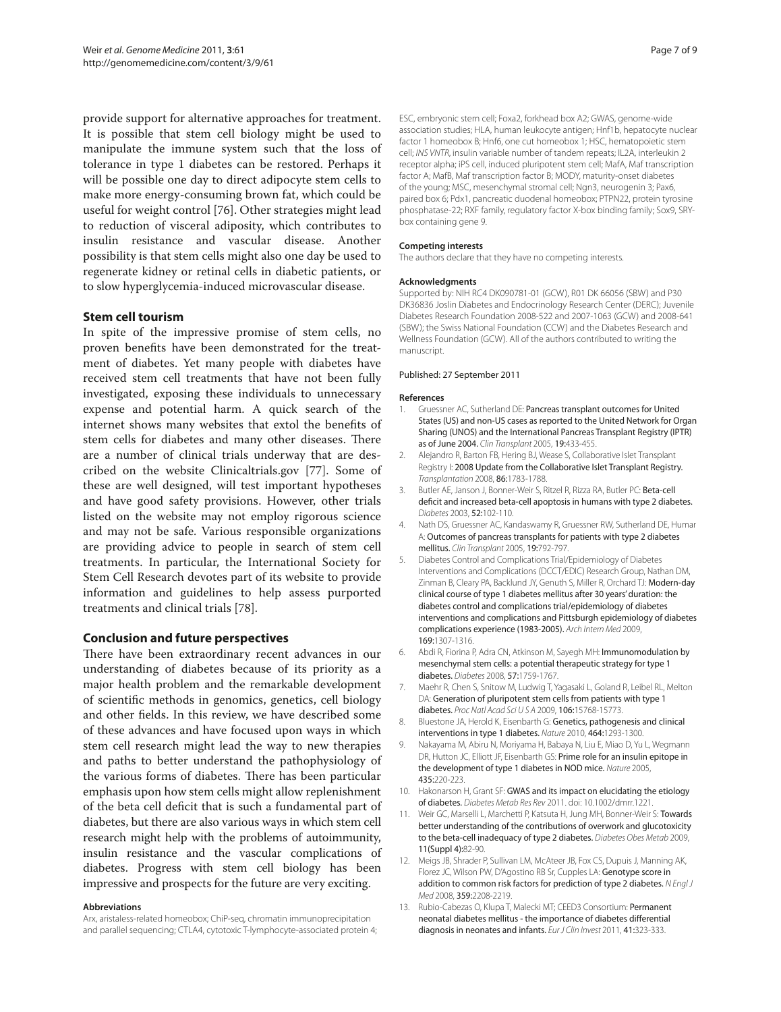provide support for alternative approaches for treatment. It is possible that stem cell biology might be used to manipulate the immune system such that the loss of tolerance in type 1 diabetes can be restored. Perhaps it will be possible one day to direct adipocyte stem cells to make more energy-consuming brown fat, which could be useful for weight control [76]. Other strategies might lead to reduction of visceral adiposity, which contributes to insulin resistance and vascular disease. Another possibility is that stem cells might also one day be used to regenerate kidney or retinal cells in diabetic patients, or to slow hyperglycemia-induced microvascular disease.

#### **Stem cell tourism**

In spite of the impressive promise of stem cells, no proven benefits have been demonstrated for the treatment of diabetes. Yet many people with diabetes have received stem cell treatments that have not been fully investigated, exposing these individuals to unnecessary expense and potential harm. A quick search of the internet shows many websites that extol the benefits of stem cells for diabetes and many other diseases. There are a number of clinical trials underway that are described on the website Clinicaltrials.gov [77]. Some of these are well designed, will test important hypotheses and have good safety provisions. However, other trials listed on the website may not employ rigorous science and may not be safe. Various responsible organizations are providing advice to people in search of stem cell treatments. In particular, the International Society for Stem Cell Research devotes part of its website to provide information and guidelines to help assess purported treatments and clinical trials [78].

# **Conclusion and future perspectives**

There have been extraordinary recent advances in our understanding of diabetes because of its priority as a major health problem and the remarkable development of scientific methods in genomics, genetics, cell biology and other fields. In this review, we have described some of these advances and have focused upon ways in which stem cell research might lead the way to new therapies and paths to better understand the pathophysiology of the various forms of diabetes. There has been particular emphasis upon how stem cells might allow replenishment of the beta cell deficit that is such a fundamental part of diabetes, but there are also various ways in which stem cell research might help with the problems of autoimmunity, insulin resistance and the vascular complications of diabetes. Progress with stem cell biology has been impressive and prospects for the future are very exciting.

#### **Abbreviations**

Arx, aristaless-related homeobox; ChiP-seq, chromatin immunoprecipitation and parallel sequencing; CTLA4, cytotoxic T-lymphocyte-associated protein 4; ESC, embryonic stem cell; Foxa2, forkhead box A2; GWAS, genome-wide association studies; HLA, human leukocyte antigen; Hnf1b, hepatocyte nuclear factor 1 homeobox B; Hnf6, one cut homeobox 1; HSC, hematopoietic stem cell; *INS VNTR*, insulin variable number of tandem repeats; IL2A, interleukin 2 receptor alpha; iPS cell, induced pluripotent stem cell; MafA, Maf transcription factor A; MafB, Maf transcription factor B; MODY, maturity-onset diabetes of the young; MSC, mesenchymal stromal cell; Ngn3, neurogenin 3; Pax6, paired box 6; Pdx1, pancreatic duodenal homeobox; PTPN22, protein tyrosine phosphatase-22; RXF family, regulatory factor X-box binding family; Sox9, SRYbox containing gene 9.

#### **Competing interests**

The authors declare that they have no competing interests.

#### **Acknowledgments**

Supported by: NIH RC4 DK090781-01 (GCW), R01 DK 66056 (SBW) and P30 DK36836 Joslin Diabetes and Endocrinology Research Center (DERC); Juvenile Diabetes Research Foundation 2008-522 and 2007-1063 (GCW) and 2008-641 (SBW); the Swiss National Foundation (CCW) and the Diabetes Research and Wellness Foundation (GCW). All of the authors contributed to writing the manuscript.

#### Published: 27 September 2011

#### **References**

- 1. Gruessner AC, Sutherland DE: Pancreas transplant outcomes for United States (US) and non-US cases as reported to the United Network for Organ Sharing (UNOS) and the International Pancreas Transplant Registry (IPTR) as of June 2004. *Clin Transplant* 2005, 19:433-455.
- 2. Alejandro R, Barton FB, Hering BJ, Wease S, Collaborative Islet Transplant Registry I: 2008 Update from the Collaborative Islet Transplant Registry. *Transplantation* 2008, 86:1783-1788.
- 3. Butler AE, Janson J, Bonner-Weir S, Ritzel R, Rizza RA, Butler PC: Beta-cell deficit and increased beta-cell apoptosis in humans with type 2 diabetes. *Diabetes* 2003, 52:102-110.
- 4. Nath DS, Gruessner AC, Kandaswamy R, Gruessner RW, Sutherland DE, Humar A: Outcomes of pancreas transplants for patients with type 2 diabetes mellitus. *Clin Transplant* 2005, 19:792-797.
- 5. Diabetes Control and Complications Trial/Epidemiology of Diabetes Interventions and Complications (DCCT/EDIC) Research Group, Nathan DM, Zinman B, Cleary PA, Backlund JY, Genuth S, Miller R, Orchard TJ: Modern-day clinical course of type 1 diabetes mellitus after 30 years' duration: the diabetes control and complications trial/epidemiology of diabetes interventions and complications and Pittsburgh epidemiology of diabetes complications experience (1983-2005). *Arch Intern Med* 2009, 169:1307-1316.
- 6. Abdi R, Fiorina P, Adra CN, Atkinson M, Sayegh MH: Immunomodulation by mesenchymal stem cells: a potential therapeutic strategy for type 1 diabetes. *Diabetes* 2008, 57:1759-1767.
- 7. Maehr R, Chen S, Snitow M, Ludwig T, Yagasaki L, Goland R, Leibel RL, Melton DA: Generation of pluripotent stem cells from patients with type 1 diabetes. *Proc Natl Acad Sci U S A* 2009, 106:15768-15773.
- 8. Bluestone JA, Herold K, Eisenbarth G: Genetics, pathogenesis and clinical interventions in type 1 diabetes. *Nature* 2010, 464:1293-1300.
- 9. Nakayama M, Abiru N, Moriyama H, Babaya N, Liu E, Miao D, Yu L, Wegmann DR, Hutton JC, Elliott JF, Eisenbarth GS: Prime role for an insulin epitope in the development of type 1 diabetes in NOD mice. *Nature* 2005,  $435:220-223$
- 10. Hakonarson H, Grant SF: GWAS and its impact on elucidating the etiology of diabetes. *Diabetes Metab Res Rev* 2011. doi: 10.1002/dmrr.1221.
- 11. Weir GC, Marselli L, Marchetti P, Katsuta H, Jung MH, Bonner-Weir S: Towards better understanding of the contributions of overwork and glucotoxicity to the beta-cell inadequacy of type 2 diabetes. *Diabetes Obes Metab* 2009, 11(Suppl 4):82-90.
- 12. Meigs JB, Shrader P, Sullivan LM, McAteer JB, Fox CS, Dupuis J, Manning AK, Florez JC, Wilson PW, D'Agostino RB Sr, Cupples LA: Genotype score in addition to common risk factors for prediction of type 2 diabetes. *N Engl J Med* 2008, 359:2208-2219.
- 13. Rubio-Cabezas O, Klupa T, Malecki MT; CEED3 Consortium: Permanent neonatal diabetes mellitus - the importance of diabetes differential diagnosis in neonates and infants. *Eur J Clin Invest* 2011, 41:323-333.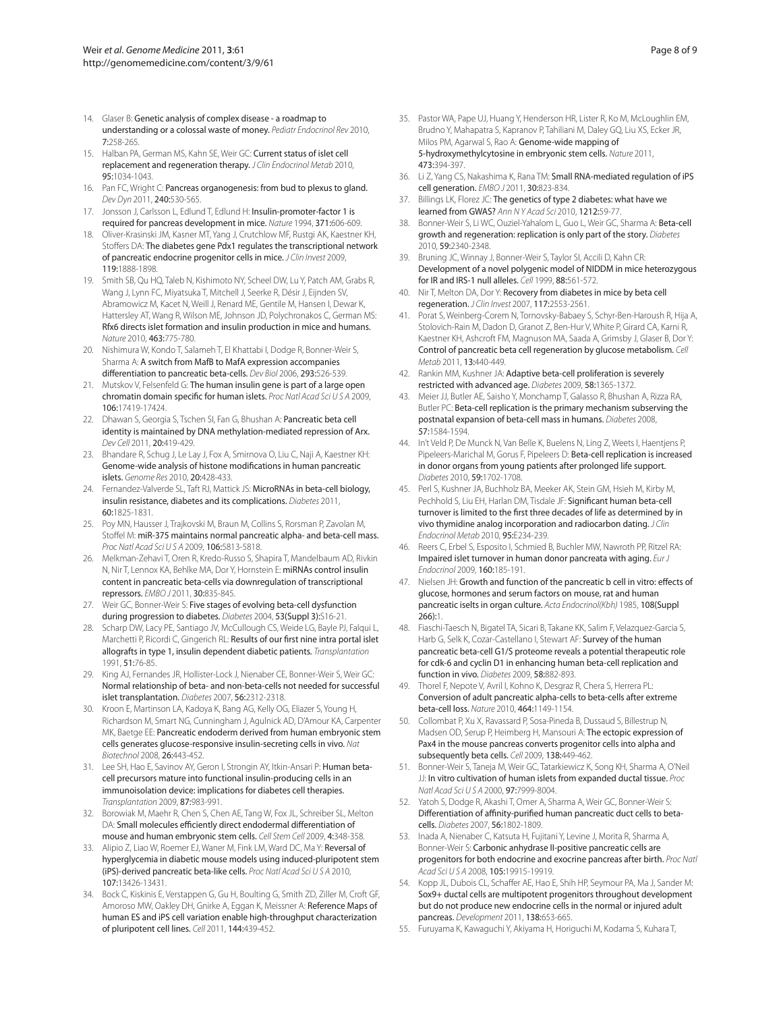- 14. Glaser B: Genetic analysis of complex disease a roadmap to understanding or a colossal waste of money. *Pediatr Endocrinol Rev* 2010, 7:258-265.
- 15. Halban PA, German MS, Kahn SE, Weir GC: Current status of islet cell replacement and regeneration therapy. *J Clin Endocrinol Metab* 2010, 95:1034-1043.
- 16. Pan FC, Wright C: Pancreas organogenesis: from bud to plexus to gland. *Dev Dyn* 2011, 240:530-565.
- 17. Jonsson J, Carlsson L, Edlund T, Edlund H: Insulin-promoter-factor 1 is required for pancreas development in mice. *Nature* 1994, 371:606-609.
- 18. Oliver-Krasinski JM, Kasner MT, Yang J, Crutchlow MF, Rustgi AK, Kaestner KH, Stoffers DA: The diabetes gene Pdx1 regulates the transcriptional network of pancreatic endocrine progenitor cells in mice. *J Clin Invest* 2009, 119:1888-1898.
- 19. Smith SB, Qu HQ, Taleb N, Kishimoto NY, Scheel DW, Lu Y, Patch AM, Grabs R, Wang J, Lynn FC, Miyatsuka T, Mitchell J, Seerke R, Désir J, Eijnden SV, Abramowicz M, Kacet N, Weill J, Renard ME, Gentile M, Hansen I, Dewar K, Hattersley AT, Wang R, Wilson ME, Johnson JD, Polychronakos C, German MS: Rfx6 directs islet formation and insulin production in mice and humans. *Nature* 2010, 463:775-780.
- 20. Nishimura W, Kondo T, Salameh T, El Khattabi I, Dodge R, Bonner-Weir S, Sharma A: A switch from MafB to MafA expression accompanies differentiation to pancreatic beta-cells. *Dev Biol* 2006, 293:526-539.
- 21. Mutskov V, Felsenfeld G: The human insulin gene is part of a large open chromatin domain specific for human islets. *Proc Natl Acad Sci U S A* 2009, 106:17419-17424.
- 22. Dhawan S, Georgia S, Tschen SI, Fan G, Bhushan A: Pancreatic beta cell identity is maintained by DNA methylation-mediated repression of Arx. *Dev Cell* 2011, 20:419-429.
- 23. Bhandare R, Schug J, Le Lay J, Fox A, Smirnova O, Liu C, Naji A, Kaestner KH: Genome-wide analysis of histone modifications in human pancreatic islets. *Genome Res* 2010, 20:428-433.
- 24. Fernandez-Valverde SL, Taft RJ, Mattick JS: MicroRNAs in beta-cell biology, insulin resistance, diabetes and its complications. *Diabetes* 2011, 60:1825-1831.
- 25. Poy MN, Hausser J, Trajkovski M, Braun M, Collins S, Rorsman P, Zavolan M, Stoffel M: miR-375 maintains normal pancreatic alpha- and beta-cell mass. *Proc Natl Acad Sci U S A* 2009, 106:5813-5818.
- 26. Melkman-Zehavi T, Oren R, Kredo-Russo S, Shapira T, Mandelbaum AD, Rivkin N, Nir T, Lennox KA, Behlke MA, Dor Y, Hornstein E: miRNAs control insulin content in pancreatic beta-cells via downregulation of transcriptional repressors. *EMBO J* 2011, 30:835-845.
- 27. Weir GC, Bonner-Weir S: Five stages of evolving beta-cell dysfunction during progression to diabetes. *Diabetes* 2004, 53(Suppl 3):S16-21.
- 28. Scharp DW, Lacy PE, Santiago JV, McCullough CS, Weide LG, Bayle PJ, Falqui L, Marchetti P, Ricordi C, Gingerich RL: Results of our first nine intra portal islet allografts in type 1, insulin dependent diabetic patients. *Transplantation*  1991, 51:76-85.
- 29. King AJ, Fernandes JR, Hollister-Lock J, Nienaber CE, Bonner-Weir S, Weir GC: Normal relationship of beta- and non-beta-cells not needed for successful islet transplantation. *Diabetes* 2007, 56:2312-2318.
- Kroon E, Martinson LA, Kadoya K, Bang AG, Kelly OG, Eliazer S, Young H, Richardson M, Smart NG, Cunningham J, Agulnick AD, D'Amour KA, Carpenter MK, Baetge EE: Pancreatic endoderm derived from human embryonic stem cells generates glucose-responsive insulin-secreting cells in vivo. *Nat Biotechnol* 2008, 26:443-452.
- 31. Lee SH, Hao E, Savinov AY, Geron I, Strongin AY, Itkin-Ansari P: Human betacell precursors mature into functional insulin-producing cells in an immunoisolation device: implications for diabetes cell therapies. *Transplantation* 2009, 87:983-991.
- 32. Borowiak M, Maehr R, Chen S, Chen AE, Tang W, Fox JL, Schreiber SL, Melton DA: Small molecules efficiently direct endodermal differentiation of mouse and human embryonic stem cells. *Cell Stem Cell* 2009, 4:348-358.
- 33. Alipio Z, Liao W, Roemer EJ, Waner M, Fink LM, Ward DC, Ma Y: Reversal of hyperglycemia in diabetic mouse models using induced-pluripotent stem (iPS)-derived pancreatic beta-like cells. *Proc Natl Acad Sci U S A* 2010, 107:13426-13431.
- 34. Bock C, Kiskinis E, Verstappen G, Gu H, Boulting G, Smith ZD, Ziller M, Croft GF, Amoroso MW, Oakley DH, Gnirke A, Eggan K, Meissner A: Reference Maps of human ES and iPS cell variation enable high-throughput characterization of pluripotent cell lines. *Cell* 2011, 144:439-452.
- 35. Pastor WA, Pape UJ, Huang Y, Henderson HR, Lister R, Ko M, McLoughlin EM, Brudno Y, Mahapatra S, Kapranov P, Tahiliani M, Daley GQ, Liu XS, Ecker JR, Milos PM, Agarwal S, Rao A: Genome-wide mapping of 5-hydroxymethylcytosine in embryonic stem cells. *Nature* 2011, 473:394-397.
- 36. Li Z, Yang CS, Nakashima K, Rana TM: Small RNA-mediated regulation of iPS cell generation. *EMBO J* 2011, 30:823-834.
- 37. Billings LK, Florez JC: The genetics of type 2 diabetes: what have we learned from GWAS? *Ann N Y Acad Sci* 2010, 1212:59-77.
- 38. Bonner-Weir S, Li WC, Ouziel-Yahalom L, Guo L, Weir GC, Sharma A: Beta-cell growth and regeneration: replication is only part of the story. *Diabetes*  2010, 59:2340-2348.
- 39. Bruning JC, Winnay J, Bonner-Weir S, Taylor SI, Accili D, Kahn CR: Development of a novel polygenic model of NIDDM in mice heterozygous for IR and IRS-1 null alleles. *Cell* 1999, 88:561-572.
- 40. Nir T, Melton DA, Dor Y: Recovery from diabetes in mice by beta cell regeneration. *J Clin Invest* 2007, 117:2553-2561.
- 41. Porat S, Weinberg-Corem N, Tornovsky-Babaey S, Schyr-Ben-Haroush R, Hija A, Stolovich-Rain M, Dadon D, Granot Z, Ben-Hur V, White P, Girard CA, Karni R, Kaestner KH, Ashcroft FM, Magnuson MA, Saada A, Grimsby J, Glaser B, Dor Y: Control of pancreatic beta cell regeneration by glucose metabolism. *Cell Metab* 2011, 13:440-449.
- 42. Rankin MM, Kushner JA: Adaptive beta-cell proliferation is severely restricted with advanced age. *Diabetes* 2009, 58:1365-1372.
- 43. Meier JJ, Butler AE, Saisho Y, Monchamp T, Galasso R, Bhushan A, Rizza RA, Butler PC: Beta-cell replication is the primary mechanism subserving the postnatal expansion of beta-cell mass in humans. *Diabetes* 2008, 57:1584-1594.
- 44. In't Veld P, De Munck N, Van Belle K, Buelens N, Ling Z, Weets I, Haentjens P, Pipeleers-Marichal M, Gorus F, Pipeleers D: Beta-cell replication is increased in donor organs from young patients after prolonged life support. *Diabetes* 2010, 59:1702-1708.
- 45. Perl S, Kushner JA, Buchholz BA, Meeker AK, Stein GM, Hsieh M, Kirby M, Pechhold S, Liu EH, Harlan DM, Tisdale JF: Significant human beta-cell turnover is limited to the first three decades of life as determined by in vivo thymidine analog incorporation and radiocarbon dating. *J Clin Endocrinol Metab* 2010, 95:E234-239.
- 46. Reers C, Erbel S, Esposito I, Schmied B, Buchler MW, Nawroth PP, Ritzel RA: Impaired islet turnover in human donor pancreata with aging. *Eur J Endocrinol* 2009, 160:185-191.
- 47. Nielsen JH: Growth and function of the pancreatic b cell in vitro: effects of glucose, hormones and serum factors on mouse, rat and human pancreatic iselts in organ culture. *Acta Endocrinol(Kbh)* 1985, 108(Suppl 266):1.
- 48. Fiaschi-Taesch N, Bigatel TA, Sicari B, Takane KK, Salim F, Velazquez-Garcia S, Harb G, Selk K, Cozar-Castellano I, Stewart AF: Survey of the human pancreatic beta-cell G1/S proteome reveals a potential therapeutic role for cdk-6 and cyclin D1 in enhancing human beta-cell replication and function in vivo. *Diabetes* 2009, 58:882-893.
- 49. Thorel F, Nepote V, Avril I, Kohno K, Desgraz R, Chera S, Herrera PL: Conversion of adult pancreatic alpha-cells to beta-cells after extreme beta-cell loss. *Nature* 2010, 464:1149-1154.
- 50. Collombat P, Xu X, Ravassard P, Sosa-Pineda B, Dussaud S, Billestrup N, Madsen OD, Serup P, Heimberg H, Mansouri A: The ectopic expression of Pax4 in the mouse pancreas converts progenitor cells into alpha and subsequently beta cells. *Cell* 2009, 138:449-462.
- 51. Bonner-Weir S, Taneja M, Weir GC, Tatarkiewicz K, Song KH, Sharma A, O'Neil JJ: In vitro cultivation of human islets from expanded ductal tissue. *Proc Natl Acad Sci U S A* 2000, 97:7999-8004.
- 52. Yatoh S, Dodge R, Akashi T, Omer A, Sharma A, Weir GC, Bonner-Weir S: Differentiation of affinity-purified human pancreatic duct cells to betacells. *Diabetes* 2007, 56:1802-1809.
- 53. Inada A, Nienaber C, Katsuta H, Fujitani Y, Levine J, Morita R, Sharma A, Bonner-Weir S: Carbonic anhydrase II-positive pancreatic cells are progenitors for both endocrine and exocrine pancreas after birth. *Proc Natl Acad Sci U S A* 2008, 105:19915-19919.
- 54. Kopp JL, Dubois CL, Schaffer AE, Hao E, Shih HP, Seymour PA, Ma J, Sander M: Sox9+ ductal cells are multipotent progenitors throughout development but do not produce new endocrine cells in the normal or injured adult pancreas. *Development* 2011, 138:653-665.
- 55. Furuyama K, Kawaguchi Y, Akiyama H, Horiguchi M, Kodama S, Kuhara T,